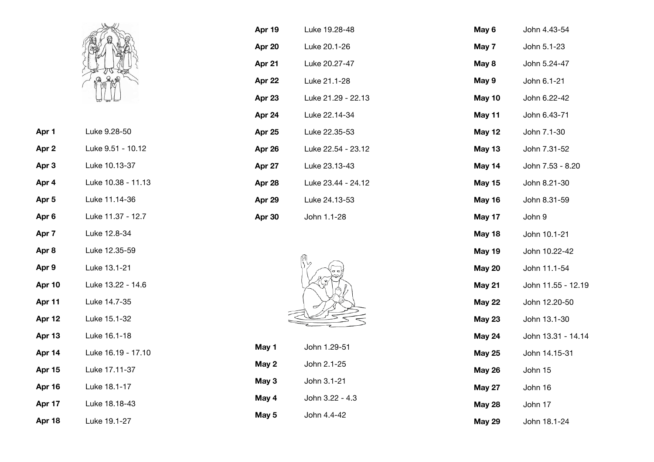

| Luke 9.28-50      |
|-------------------|
| Luke 9.51 - 10.12 |
| Luke 10.13-37     |
|                   |

**Apr 5** Luke 11.14-36

**Apr 4** Luke 10.38 - 11.13

- **Apr 6** Luke 11.37 12.7
- 
- **Apr 7** Luke 12.8-34
- **Apr 8** Luke 12.35-59
- **Apr 9** Luke 13.1-21
- **Apr 10** Luke 13.22 14.6
- **Apr 11** Luke 14.7-35
- **Apr 12** Luke 15.1-32
- **Apr 13** Luke 16.1-18
- **Apr 14** Luke 16.19 17.10
- **Apr 15** Luke 17.11-37
- **Apr 16** Luke 18.1-17
- **Apr 17** Luke 18.18-43

**Apr 18** Luke 19.1-27

| Apr 19 | Luke 19.28-48      |
|--------|--------------------|
| Apr 20 | Luke 20.1-26       |
| Apr 21 | Luke 20.27-47      |
| Apr 22 | Luke 21.1-28       |
| Apr 23 | Luke 21.29 - 22.13 |
| Apr 24 | Luke 22.14-34      |
| Apr 25 | Luke 22.35-53      |
| Apr 26 | Luke 22.54 - 23.12 |
| Apr 27 | Luke 23.13-43      |
| Apr 28 | Luke 23.44 - 24.12 |
| Apr 29 | Luke 24.13-53      |
| Apr 30 | John 1.1-28        |



| May 1 | John 1.29-51    |
|-------|-----------------|
| May 2 | John 2.1-25     |
| May 3 | John 3.1-21     |
| May 4 | John 3.22 - 4.3 |
| May 5 | John 4.4-42     |

| May 6         | John 4.43-54       |
|---------------|--------------------|
| May 7         | John 5.1-23        |
| May 8         | John 5.24-47       |
| May 9         | John 6.1-21        |
| May 10        | John 6.22-42       |
| May 11        | John 6.43-71       |
| <b>May 12</b> | John 7.1-30        |
| May 13        | John 7.31-52       |
| May 14        | John 7.53 - 8.20   |
| <b>May 15</b> | John 8.21-30       |
| May 16        | John 8.31-59       |
| May 17        | John 9             |
| <b>May 18</b> | John 10.1-21       |
| <b>May 19</b> | John 10.22-42      |
| <b>May 20</b> | John 11.1-54       |
| <b>May 21</b> | John 11.55 - 12.19 |
| <b>May 22</b> | John 12.20-50      |
| <b>May 23</b> | John 13.1-30       |
| May 24        | John 13.31 - 14.14 |
| <b>May 25</b> | John 14.15-31      |
| <b>May 26</b> | John 15            |
| <b>May 27</b> | John 16            |
| <b>May 28</b> | John 17            |
| <b>May 29</b> | John 18.1-24       |